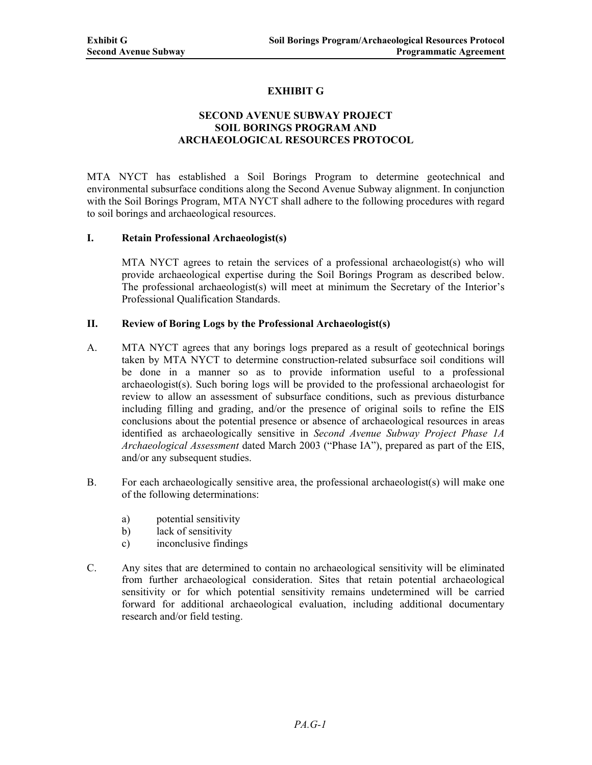# **EXHIBIT G**

## **SECOND AVENUE SUBWAY PROJECT SOIL BORINGS PROGRAM AND ARCHAEOLOGICAL RESOURCES PROTOCOL**

MTA NYCT has established a Soil Borings Program to determine geotechnical and environmental subsurface conditions along the Second Avenue Subway alignment. In conjunction with the Soil Borings Program, MTA NYCT shall adhere to the following procedures with regard to soil borings and archaeological resources.

#### **I. Retain Professional Archaeologist(s)**

MTA NYCT agrees to retain the services of a professional archaeologist(s) who will provide archaeological expertise during the Soil Borings Program as described below. The professional archaeologist(s) will meet at minimum the Secretary of the Interior's Professional Qualification Standards.

### **II. Review of Boring Logs by the Professional Archaeologist(s)**

- A. MTA NYCT agrees that any borings logs prepared as a result of geotechnical borings taken by MTA NYCT to determine construction-related subsurface soil conditions will be done in a manner so as to provide information useful to a professional archaeologist(s). Such boring logs will be provided to the professional archaeologist for review to allow an assessment of subsurface conditions, such as previous disturbance including filling and grading, and/or the presence of original soils to refine the EIS conclusions about the potential presence or absence of archaeological resources in areas identified as archaeologically sensitive in *Second Avenue Subway Project Phase 1A Archaeological Assessment* dated March 2003 ("Phase IA"), prepared as part of the EIS, and/or any subsequent studies.
- B. For each archaeologically sensitive area, the professional archaeologist(s) will make one of the following determinations:
	- a) potential sensitivity
	- b) lack of sensitivity
	- c) inconclusive findings
- C. Any sites that are determined to contain no archaeological sensitivity will be eliminated from further archaeological consideration. Sites that retain potential archaeological sensitivity or for which potential sensitivity remains undetermined will be carried forward for additional archaeological evaluation, including additional documentary research and/or field testing.